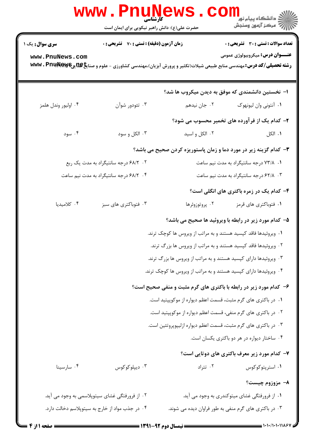|                        | <b>WWW.PNUNET</b><br><b>کارشناسی</b><br>حضرت علی(ع): دانش راهبر نیکویی برای ایمان است                                                      |                                                                   | <sup>ال</sup> ڪ دانشڪاه پيام نور ■<br>  <i>  &gt;</i><br>  } |
|------------------------|--------------------------------------------------------------------------------------------------------------------------------------------|-------------------------------------------------------------------|--------------------------------------------------------------|
| <b>سری سوال :</b> یک ۱ | <b>زمان آزمون (دقیقه) : تستی : 70 ٪ تشریحی : 0</b>                                                                                         |                                                                   | <b>تعداد سوالات : تستی : 30 ٪ تشریحی : 0</b>                 |
| www.PnuNews.com        | <b>رشته تحصیلی/کد درس:</b> مهندسی منابع طبیعی شیلات(تکثیر و پرورش آبزیان)،مهندسی کشاورزی - علوم و صنای <b>خِP&amp;یِR&amp;یا www . Pnu</b> |                                                                   | <b>عنـــوان درس:</b> میکروبیولوژی عمومی                      |
|                        |                                                                                                                                            | ا– نخستین دانشمندی که موفق به دیدن میکروب ها شد؟                  |                                                              |
| ۰۴ اوليور وندل هلمز    | ۰۳ تئودور شوآن                                                                                                                             | ۰۲ جان نیدهم                                                      | ۰۱ آنتونی وان لیونهوک                                        |
|                        |                                                                                                                                            | ۲- کدام یک از فرآورده های تخمیر محسوب می شود؟                     |                                                              |
| ۰۴ سود                 | ۰۳ الکل و سود                                                                                                                              | ۰۲ الکل و اسيد                                                    | ۰۱ الکل                                                      |
|                        |                                                                                                                                            | ۳- کدام گزینه زیر در مورد دما و زمان پاستوریزه کردن صحیح می باشد؟ |                                                              |
|                        | ۰۲ ۶۸/۲ درجه سانتیگراد به مدت یک ربع                                                                                                       |                                                                   | ۰۱ ۷۳/۸ درجه سانتیگراد به مدت نیم ساعت                       |
|                        | ۰۴ /۶۸/۲ درجه سانتیگراد به مدت نیم ساعت                                                                                                    |                                                                   | ۰۳ . ۶۲/۸ درجه سانتیگراد به مدت نیم ساعت                     |
|                        |                                                                                                                                            |                                                                   | ۴- کدام یک در زمره باکتری های انگلی است؟                     |
| ۰۴ کلامیدیا            | ۰۳ فتوباکتری های سبز                                                                                                                       | ۰۲ پروتوزوئرها                                                    | ۰۱ فتوباکتری های قرمز                                        |
|                        |                                                                                                                                            | ۵- کدام مورد زیر در رابطه با ویروئید ها صحیح می باشد؟             |                                                              |
|                        |                                                                                                                                            | ۰۱ ویروئیدها فاقد کپسید هستند و به مراتب از ویروس ها کوچک ترند.   |                                                              |
|                        |                                                                                                                                            | ۰۲ ویروئیدها فاقد کپسید هستند و به مراتب از ویروس ها بزرگ ترند.   |                                                              |
|                        |                                                                                                                                            | ۰۳ ویروئیدها دارای کپسید هستند و به مراتب از ویروس ها بزرگ ترند.  |                                                              |
|                        |                                                                                                                                            | ۰۴ ویروئیدها دارای کپسید هستند و به مراتب از ویروس ها کوچک ترند.  |                                                              |
|                        |                                                                                                                                            | ۶- کدام مورد زیر در رابطه با باکتری های گرم مثبت و منفی صحیح است؟ |                                                              |
|                        |                                                                                                                                            | ۰۱ در باکتری های گرم مثبت، قسمت اعظم دیواره از موکوپپتید است.     |                                                              |
|                        |                                                                                                                                            | ۰۲ در باکتری های گرم منفی، قسمت اعظم دیواره از موکوپپتید است.     |                                                              |
|                        |                                                                                                                                            | ۰۳ در باکتری های گرم مثبت، قسمت اعظم دیواره ازلیپوپروتئین است.    |                                                              |
|                        |                                                                                                                                            |                                                                   | ۰۴ ساختار دیواره در هر دو باکتری یکسان است.                  |
|                        |                                                                                                                                            |                                                                   | ۷- کدام مورد زیر معرف باکتری های دوتایی است؟                 |
| ۰۴ سارسينا             | ۰۳ ديپلوکوکوس                                                                                                                              | ۰۲ تتراد                                                          | ۰۱ استرپتوکوکوس                                              |
|                        |                                                                                                                                            |                                                                   | ۸– مزوزوم چیست؟                                              |
|                        | ۲. از فرورفتگی غشای سیتوپلاسمی به وجود می آید.                                                                                             |                                                                   | ۱. از فرورفتگی غشای میتوکندری به وجود می آید.                |
|                        | ۰۴ در جذب مواد از خارج به سیتوپلاسم دخالت دارد.                                                                                            | ۰۳ در باکتری های گرم منفی به طور فراوان دیده می شوند.             |                                                              |
|                        |                                                                                                                                            |                                                                   |                                                              |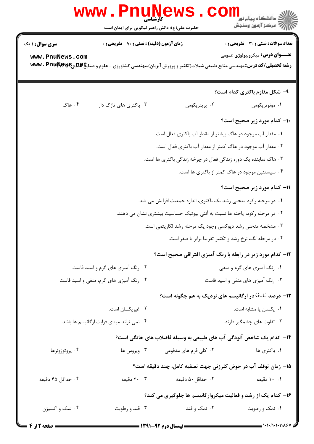|                                  | <b>WWW</b><br>کارشناسی<br>حضرت علی(ع): دانش راهبر نیکویی برای ایمان است                                                          |                                                                            | ٽ دانشگاه پيام نور<br>ر آمرڪز آزمون وسنڊش                           |  |
|----------------------------------|----------------------------------------------------------------------------------------------------------------------------------|----------------------------------------------------------------------------|---------------------------------------------------------------------|--|
| <b>سری سوال : ۱ یک</b>           | <b>زمان آزمون (دقیقه) : تستی : 70 قشریحی : 0</b>                                                                                 |                                                                            | <b>تعداد سوالات : تستی : 30 ٪ تشریحی : 0</b>                        |  |
| www.PnuNews.com                  | <b>رشته تحصیلی/کد درس:</b> مهندسی منابع طبیعی شیلات(تکثیر و پرورش آبزیان)،مهندسی کشاورزی - علوم و صنای <b>خِPA یچ@ww . Pnu W</b> |                                                                            | <b>عنـــوان درس:</b> میکروبیولوژی عمومی                             |  |
|                                  |                                                                                                                                  |                                                                            | ۹- شکل مقاوم باکتری کدام است؟                                       |  |
| ۰۴ هاگ                           | ۰۳ باکتری های تاژک دار                                                                                                           | ۰۲ پریتریکوس                                                               | ۰۱ مونوتریکوس                                                       |  |
|                                  |                                                                                                                                  |                                                                            | 10- کدام مورد زیر صحیح است؟                                         |  |
|                                  |                                                                                                                                  | ۰۱ مقدار آب موجود در هاگ بیشتر از مقدار آب باکتری فعال است.                |                                                                     |  |
|                                  |                                                                                                                                  | ۰۲ مقدار آب موجود در هاگ کمتر از مقدار آب باکتری فعال است.                 |                                                                     |  |
|                                  |                                                                                                                                  | ۰۳ هاگ نماینده یک دوره زندگی فعال در چرخه زندگی باکتری ها است.             |                                                                     |  |
|                                  |                                                                                                                                  |                                                                            | ۰۴ سیستئین موجود در هاگ کمتر از باکتری ها است.                      |  |
|                                  |                                                                                                                                  |                                                                            | 11- کدام مورد زیر صحیح است؟                                         |  |
|                                  |                                                                                                                                  | ۰۱ در مرحله رکود منحنی رشد یک باکتری، اندازه جمعیت افزایش می یابد.         |                                                                     |  |
|                                  |                                                                                                                                  | ۰۲ در مرحله رکود، یاخته ها نسبت به آنتی بیوتیک حساسیت بیشتری نشان می دهند. |                                                                     |  |
|                                  |                                                                                                                                  | ۰۳ مشخصه منحنی رشد دیوکسی وجود یک مرحله رشد لگاریتمی است.                  |                                                                     |  |
|                                  |                                                                                                                                  |                                                                            | ۰۴ در مرحله لگ، نرخ رشد و تکثیر تقریبا برابر با صفر است.            |  |
|                                  |                                                                                                                                  |                                                                            | <b>۱۲</b> - کدام مورد زیر در رابطه با رنگ آمیزی افتراقی صحیح است؟   |  |
| ۰۲ رنگ آمیزی های گرم و اسید فاست |                                                                                                                                  | ۰۱ رنگ آمیزی های گرم و منفی                                                |                                                                     |  |
|                                  | ۰۴ رنگ آمیزی های گرم، منفی و اسید فاست                                                                                           |                                                                            | ۰۳ رنگ آمیزی های منفی و اسید فاست                                   |  |
|                                  |                                                                                                                                  |                                                                            | <b>۱۳</b> - درصد G+C در ارگانیسم های نزدیک به هم چگونه است؟         |  |
|                                  | ۰۲ غیریکسان است.                                                                                                                 |                                                                            | ٠١ يكسان يا مشابه است.                                              |  |
|                                  | ۰۴ نمی تواند مبنای قرابت ارگانیسم ها باشد.                                                                                       |                                                                            | ۰۳ تفاوت های چشمگیر دارند.                                          |  |
|                                  |                                                                                                                                  |                                                                            | ۱۴– کدام یک شاخص آلودگی آب های طبیعی به وسیله فاضلاب های خانگی است؟ |  |
| ۰۴ پروتوزوئرها                   | ۰۳ ویروس ها                                                                                                                      | ۰۲ کلی فرم های مدفوعی                                                      | ۰۱ باکتری ها                                                        |  |
|                                  |                                                                                                                                  |                                                                            | ۱۵– زمان توقف آب در حوض کلرزنی جهت تصفیه کامل، چند دقیقه است؟       |  |
| ۰۴ حداقل ۴۵ دقیقه                | ۰. ۲۰ دقیقه                                                                                                                      | ۰۲ حداقل ۵۰ دقیقه                                                          | ۰۱ دقیقه                                                            |  |
|                                  |                                                                                                                                  |                                                                            | ۱۶- کدام یک از رشد و فعالیت میکروارگانیسم ها جلوگیری می کند؟        |  |
| ۰۴ نمک و اکسیژن                  | ۰۳ قند و رطوبت                                                                                                                   | ۰۲ نمک و قند                                                               | ۰۱ نمک و رطوبت                                                      |  |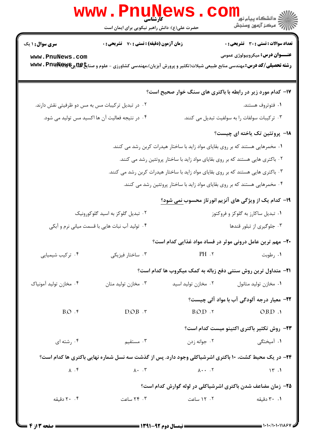|                                                   | <b>کارشناسی</b><br>حضرت علی(ع): دانش راهبر نیکویی برای ایمان است                                                                   |                                                                                                                                                                                                                                                                                                                                                                                                                                                                                                                                                                                               | ≤ دانشڪاه پيام نو <mark>ر</mark><br>ر <i>7</i> مرڪز آزمون وسنڊش |
|---------------------------------------------------|------------------------------------------------------------------------------------------------------------------------------------|-----------------------------------------------------------------------------------------------------------------------------------------------------------------------------------------------------------------------------------------------------------------------------------------------------------------------------------------------------------------------------------------------------------------------------------------------------------------------------------------------------------------------------------------------------------------------------------------------|-----------------------------------------------------------------|
| <b>سری سوال : ۱ یک</b>                            | زمان آزمون (دقیقه) : تستی : 70 گشریحی : 0                                                                                          |                                                                                                                                                                                                                                                                                                                                                                                                                                                                                                                                                                                               | تعداد سوالات : تستي : 30 - تشريحي : 0                           |
| www.PnuNews.com                                   | <b>رشته تحصیلی/کد درس:</b> مهندسی منابع طبیعی شیلات(تکثیر و پرورش آبزیان)،مهندسی کشاورزی - علوم و صنای <b>خDEپِRA و WWW . Pnup</b> |                                                                                                                                                                                                                                                                                                                                                                                                                                                                                                                                                                                               | <b>عنـــوان درس:</b> میکروبیولوژی عمومی                         |
|                                                   |                                                                                                                                    | <b>۱۷- کدام مورد زیر در رابطه با باکتری های سنگ خوار صحیح است؟</b>                                                                                                                                                                                                                                                                                                                                                                                                                                                                                                                            |                                                                 |
| ۰۲ در تبدیل ترکیبات مس به مس دو ظرفیتی نقش دارند. |                                                                                                                                    |                                                                                                                                                                                                                                                                                                                                                                                                                                                                                                                                                                                               | ۰۱ فتوتروف هستند.                                               |
| ۰۴ در نتیجه فعالیت آن ها اکسید مس تولید می شود.   |                                                                                                                                    | ۰۳ ترکیبات سولفات را به سولفیت تبدیل می کنند.                                                                                                                                                                                                                                                                                                                                                                                                                                                                                                                                                 |                                                                 |
|                                                   |                                                                                                                                    |                                                                                                                                                                                                                                                                                                                                                                                                                                                                                                                                                                                               | 1۸- پروتئین تک یاخته ای چیست؟                                   |
|                                                   |                                                                                                                                    | ۰۱ مخمرهایی هستند که بر روی بقایای مواد زاید با ساختار هیدرات کربن رشد می کنند.                                                                                                                                                                                                                                                                                                                                                                                                                                                                                                               |                                                                 |
|                                                   |                                                                                                                                    | ۰۲ باکتری هایی هستند که بر روی بقایای مواد زاید با ساختار پروتئین رشد می کنند.                                                                                                                                                                                                                                                                                                                                                                                                                                                                                                                |                                                                 |
|                                                   |                                                                                                                                    | ۰۳ باکتری هایی هستند که بر روی بقایای مواد زاید با ساختار هیدرات کربن رشد می کنند.                                                                                                                                                                                                                                                                                                                                                                                                                                                                                                            |                                                                 |
|                                                   |                                                                                                                                    | ۰۴ مخمرهایی هستند که بر روی بقایای مواد زاید با ساختار پروتئین رشد می کنند.                                                                                                                                                                                                                                                                                                                                                                                                                                                                                                                   |                                                                 |
|                                                   |                                                                                                                                    | ۱۹- کدام یک از ویژگی های آنزیم انور تاز محسوب <u>نمی</u> شود؟                                                                                                                                                                                                                                                                                                                                                                                                                                                                                                                                 |                                                                 |
|                                                   | ۰۲ تبدیل گلوکز به اسید گلوکورونیک                                                                                                  | ۰۱ تبدیل ساکارز به گلوکز و فروکتوز                                                                                                                                                                                                                                                                                                                                                                                                                                                                                                                                                            |                                                                 |
|                                                   | ۰۴ تولید آب نبات هایی با قسمت میانی نرم و آبکی                                                                                     | ۰۳ جلوگیری از تبلور قندها                                                                                                                                                                                                                                                                                                                                                                                                                                                                                                                                                                     |                                                                 |
|                                                   |                                                                                                                                    | ۲۰- مهم ترین عامل درونی موثر در فساد مواد غذایی کدام است؟                                                                                                                                                                                                                                                                                                                                                                                                                                                                                                                                     |                                                                 |
| ۰۴ ترکیب شیمیایی                                  | ۰۳ ساختار فيزيكي                                                                                                                   | PH.7                                                                                                                                                                                                                                                                                                                                                                                                                                                                                                                                                                                          | ۰۱ رطوبت                                                        |
|                                                   |                                                                                                                                    | <b>۲۱</b> - متداول ترین روش سنتی دفع زباله به کمک میکروب ها کدام است؟                                                                                                                                                                                                                                                                                                                                                                                                                                                                                                                         |                                                                 |
| ۰۴ مخازن توليد آمونياك                            | ۰۳ مخازن تولید متان                                                                                                                | ۰۲ مخازن تولید اسید                                                                                                                                                                                                                                                                                                                                                                                                                                                                                                                                                                           | ۰۱ مخازن تولید متانول                                           |
|                                                   |                                                                                                                                    |                                                                                                                                                                                                                                                                                                                                                                                                                                                                                                                                                                                               | <b>۲۲</b> - معیار درجه آلودگی آب با مواد آلی چیست؟              |
| $B.O.$ $\zeta$                                    | D.O.B.                                                                                                                             | B.O.D.                                                                                                                                                                                                                                                                                                                                                                                                                                                                                                                                                                                        | O.B.D.                                                          |
|                                                   |                                                                                                                                    |                                                                                                                                                                                                                                                                                                                                                                                                                                                                                                                                                                                               | ٢٣- روش تكثير باكترى اكتينو ميست كدام است؟                      |
| ۰۴ رشته ای                                        | ۰۳ مستقیم                                                                                                                          | ۰۲ جوانه زدن                                                                                                                                                                                                                                                                                                                                                                                                                                                                                                                                                                                  | ۰۱ آمیختگ <sub>ی</sub>                                          |
|                                                   | ۲۴- در یک محیط کشت، ۱۰ باکتری اشرشیاکلی وجود دارد. پس از گذشت سه نسل شماره نهایی باکتری ها کدام است؟                               |                                                                                                                                                                                                                                                                                                                                                                                                                                                                                                                                                                                               |                                                                 |
|                                                   |                                                                                                                                    |                                                                                                                                                                                                                                                                                                                                                                                                                                                                                                                                                                                               |                                                                 |
| $\lambda$ . $\zeta$                               |                                                                                                                                    | $\lambda \cdot \cdot \cdot$ $\lambda \cdot \cdot \cdot$ $\lambda \cdot \cdot \cdot$ $\lambda \cdot \cdot \cdot$ $\lambda \cdot \cdot \cdot$ $\lambda \cdot \cdot \cdot$ $\lambda \cdot \cdot \cdot$ $\lambda \cdot \cdot \cdot$ $\lambda \cdot \cdot \cdot$ $\lambda \cdot \cdot \cdot$ $\lambda \cdot \cdot \cdot$ $\lambda \cdot \cdot \cdot \cdot$ $\lambda \cdot \cdot \cdot \cdot$ $\lambda \cdot \cdot \cdot \cdot$ $\lambda \cdot \cdot \cdot \cdot$ $\lambda \cdot \cdot \cdot \cdot \cdot$ $\lambda \cdot \cdot \cdot \cdot \cdot$ $\lambda \cdot \cdot \cdot \cdot \cdot$ $\lambda$ | $\mathcal{N}$ .                                                 |
|                                                   |                                                                                                                                    | ۲۵- زمان مضاعف شدن باکتری اشرشیاکلی در لوله گوارش کدام است؟                                                                                                                                                                                                                                                                                                                                                                                                                                                                                                                                   |                                                                 |
| ۰.۴ دقیقه                                         | ۰۳ ۲۴ ساعت                                                                                                                         | ۰۲ . ۱۲ ساعت                                                                                                                                                                                                                                                                                                                                                                                                                                                                                                                                                                                  | ۰۱ ۳۰ دقیقه                                                     |